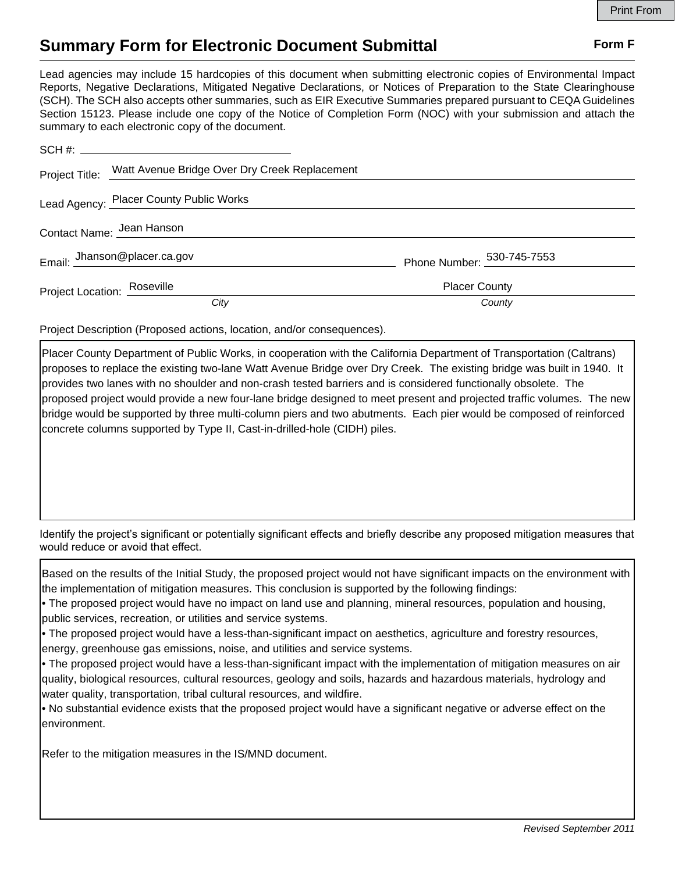## **Summary Form for Electronic Document Submittal Form F Form F**

Lead agencies may include 15 hardcopies of this document when submitting electronic copies of Environmental Impact Reports, Negative Declarations, Mitigated Negative Declarations, or Notices of Preparation to the State Clearinghouse (SCH). The SCH also accepts other summaries, such as EIR Executive Summaries prepared pursuant to CEQA Guidelines Section 15123. Please include one copy of the Notice of Completion Form (NOC) with your submission and attach the summary to each electronic copy of the document.

|                             | Project Title: Watt Avenue Bridge Over Dry Creek Replacement |                            |
|-----------------------------|--------------------------------------------------------------|----------------------------|
|                             | Lead Agency: Placer County Public Works                      |                            |
| Contact Name: Jean Hanson   |                                                              |                            |
|                             | Email: Jhanson@placer.ca.gov                                 | Phone Number: 530-745-7553 |
| Project Location: Roseville |                                                              | <b>Placer County</b>       |
|                             | City                                                         | County                     |

Project Description (Proposed actions, location, and/or consequences).

Placer County Department of Public Works, in cooperation with the California Department of Transportation (Caltrans) proposes to replace the existing two-lane Watt Avenue Bridge over Dry Creek. The existing bridge was built in 1940. It provides two lanes with no shoulder and non-crash tested barriers and is considered functionally obsolete. The proposed project would provide a new four-lane bridge designed to meet present and projected traffic volumes. The new bridge would be supported by three multi-column piers and two abutments. Each pier would be composed of reinforced concrete columns supported by Type II, Cast-in-drilled-hole (CIDH) piles.

Identify the project's significant or potentially significant effects and briefly describe any proposed mitigation measures that would reduce or avoid that effect.

Based on the results of the Initial Study, the proposed project would not have significant impacts on the environment with the implementation of mitigation measures. This conclusion is supported by the following findings:

• The proposed project would have no impact on land use and planning, mineral resources, population and housing, public services, recreation, or utilities and service systems.

• The proposed project would have a less-than-significant impact on aesthetics, agriculture and forestry resources, energy, greenhouse gas emissions, noise, and utilities and service systems.

• The proposed project would have a less-than-significant impact with the implementation of mitigation measures on air quality, biological resources, cultural resources, geology and soils, hazards and hazardous materials, hydrology and water quality, transportation, tribal cultural resources, and wildfire.

• No substantial evidence exists that the proposed project would have a significant negative or adverse effect on the environment.

Refer to the mitigation measures in the IS/MND document.